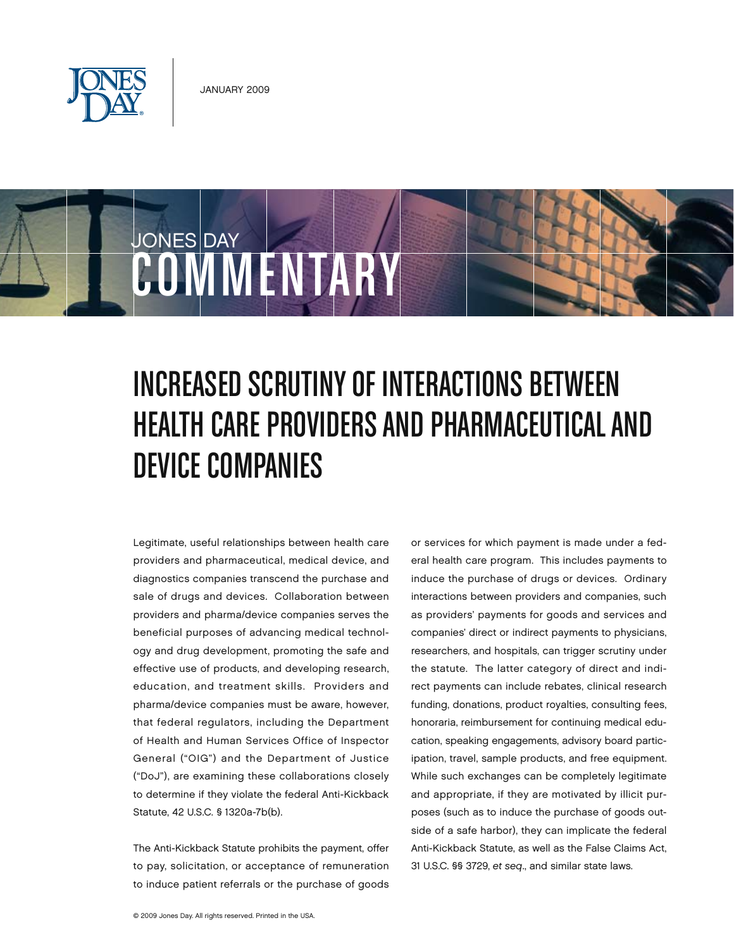

COMMENTARY

Device Companies

JONES DAY

# INCREASED SCRUTINY OF INTERACTIONS BETWEEN Health Care Providers and Pharmaceutical and

Legitimate, useful relationships between health care providers and pharmaceutical, medical device, and diagnostics companies transcend the purchase and sale of drugs and devices. Collaboration between providers and pharma/device companies serves the beneficial purposes of advancing medical technology and drug development, promoting the safe and effective use of products, and developing research, education, and treatment skills. Providers and pharma/device companies must be aware, however, that federal regulators, including the Department of Health and Human Services Office of Inspector General ("OIG") and the Department of Justice ("DoJ"), are examining these collaborations closely to determine if they violate the federal Anti-Kickback Statute, 42 U.S.C. § 1320a-7b(b).

The Anti-Kickback Statute prohibits the payment, offer to pay, solicitation, or acceptance of remuneration to induce patient referrals or the purchase of goods or services for which payment is made under a federal health care program. This includes payments to induce the purchase of drugs or devices. Ordinary interactions between providers and companies, such as providers' payments for goods and services and companies' direct or indirect payments to physicians, researchers, and hospitals, can trigger scrutiny under the statute. The latter category of direct and indirect payments can include rebates, clinical research funding, donations, product royalties, consulting fees, honoraria, reimbursement for continuing medical education, speaking engagements, advisory board participation, travel, sample products, and free equipment. While such exchanges can be completely legitimate and appropriate, if they are motivated by illicit purposes (such as to induce the purchase of goods outside of a safe harbor), they can implicate the federal Anti-Kickback Statute, as well as the False Claims Act, 31 U.S.C. §§ 3729, *et seq*., and similar state laws.